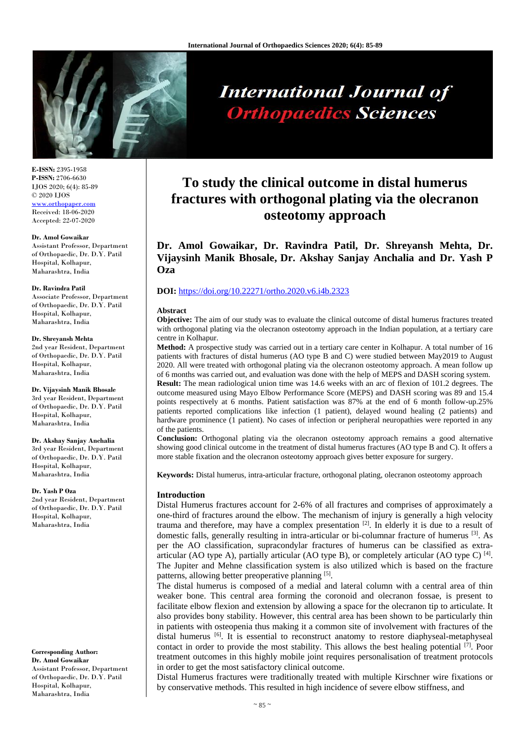

# **International Journal of Orthopaedics Sciences**

**E-ISSN:** 2395-1958 **P-ISSN:** 2706-6630 IJOS 2020; 6(4): 85-89 © 2020 IJOS [www.orthopaper.com](http://www.orthopaper.com/) Received: 18-06-2020 Accepted: 22-07-2020

## **Dr. Amol Gowaikar**

Assistant Professor, Department of Orthopaedic, Dr. D.Y. Patil Hospital, Kolhapur, Maharashtra, India

#### **Dr. Ravindra Patil**

Associate Professor, Department of Orthopaedic, Dr. D.Y. Patil Hospital, Kolhapur, Maharashtra, India

### **Dr. Shreyansh Mehta**

2nd year Resident, Department of Orthopaedic, Dr. D.Y. Patil Hospital, Kolhapur, Maharashtra, India

# **Dr. Vijaysinh Manik Bhosale**

3rd year Resident, Department of Orthopaedic, Dr. D.Y. Patil Hospital, Kolhapur, Maharashtra, India

# **Dr. Akshay Sanjay Anchalia**

3rd year Resident, Department of Orthopaedic, Dr. D.Y. Patil Hospital, Kolhapur, Maharashtra, India

## **Dr. Yash P Oza**

2nd year Resident, Department of Orthopaedic, Dr. D.Y. Patil Hospital, Kolhapur, Maharashtra, India

**Corresponding Author: Dr. Amol Gowaikar** Assistant Professor, Department of Orthopaedic, Dr. D.Y. Patil Hospital, Kolhapur, Maharashtra, India

# **To study the clinical outcome in distal humerus fractures with orthogonal plating via the olecranon osteotomy approach**

**Dr. Amol Gowaikar, Dr. Ravindra Patil, Dr. Shreyansh Mehta, Dr. Vijaysinh Manik Bhosale, Dr. Akshay Sanjay Anchalia and Dr. Yash P Oza**

# **DOI:** <https://doi.org/10.22271/ortho.2020.v6.i4b.2323>

# **Abstract**

**Objective:** The aim of our study was to evaluate the clinical outcome of distal humerus fractures treated with orthogonal plating via the olecranon osteotomy approach in the Indian population, at a tertiary care centre in Kolhapur.

**Method:** A prospective study was carried out in a tertiary care center in Kolhapur. A total number of 16 patients with fractures of distal humerus (AO type B and C) were studied between May2019 to August 2020. All were treated with orthogonal plating via the olecranon osteotomy approach. A mean follow up of 6 months was carried out, and evaluation was done with the help of MEPS and DASH scoring system. **Result:** The mean radiological union time was 14.6 weeks with an arc of flexion of 101.2 degrees. The outcome measured using Mayo Elbow Performance Score (MEPS) and DASH scoring was 89 and 15.4 points respectively at 6 months. Patient satisfaction was 87% at the end of 6 month follow-up.25% patients reported complications like infection (1 patient), delayed wound healing (2 patients) and hardware prominence (1 patient). No cases of infection or peripheral neuropathies were reported in any of the patients.

**Conclusion:** Orthogonal plating via the olecranon osteotomy approach remains a good alternative showing good clinical outcome in the treatment of distal humerus fractures (AO type B and C). It offers a more stable fixation and the olecranon osteotomy approach gives better exposure for surgery.

**Keywords:** Distal humerus, intra-articular fracture, orthogonal plating, olecranon osteotomy approach

# **Introduction**

Distal Humerus fractures account for 2-6% of all fractures and comprises of approximately a one-third of fractures around the elbow. The mechanism of injury is generally a high velocity trauma and therefore, may have a complex presentation [2]. In elderly it is due to a result of domestic falls, generally resulting in intra-articular or bi-columnar fracture of humerus [3]. As per the AO classification, supracondylar fractures of humerus can be classified as extraarticular (AO type A), partially articular (AO type B), or completely articular (AO type C)  $^{[4]}$ . The Jupiter and Mehne classification system is also utilized which is based on the fracture patterns, allowing better preoperative planning [5].

The distal humerus is composed of a medial and lateral column with a central area of thin weaker bone. This central area forming the coronoid and olecranon fossae, is present to facilitate elbow flexion and extension by allowing a space for the olecranon tip to articulate. It also provides bony stability. However, this central area has been shown to be particularly thin in patients with osteopenia thus making it a common site of involvement with fractures of the distal humerus <sup>[6]</sup>. It is essential to reconstruct anatomy to restore diaphyseal-metaphyseal contact in order to provide the most stability. This allows the best healing potential  $[7]$ . Poor treatment outcomes in this highly mobile joint requires personalisation of treatment protocols in order to get the most satisfactory clinical outcome.

Distal Humerus fractures were traditionally treated with multiple Kirschner wire fixations or by conservative methods. This resulted in high incidence of severe elbow stiffness, and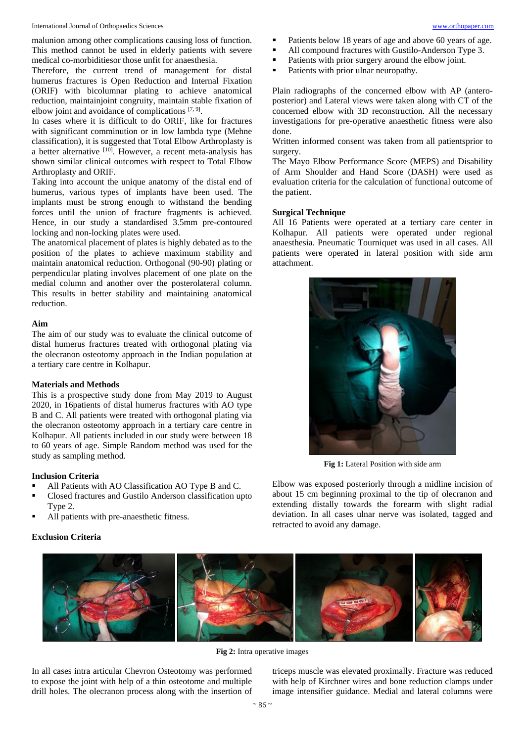malunion among other complications causing loss of function. This method cannot be used in elderly patients with severe medical co-morbiditiesor those unfit for anaesthesia.

Therefore, the current trend of management for distal humerus fractures is Open Reduction and Internal Fixation (ORIF) with bicolumnar plating to achieve anatomical reduction, maintainjoint congruity, maintain stable fixation of elbow joint and avoidance of complications  $[7, 9]$ .

In cases where it is difficult to do ORIF, like for fractures with significant comminution or in low lambda type (Mehne classification), it is suggested that Total Elbow Arthroplasty is a better alternative [10]. However, a recent meta-analysis has shown similar clinical outcomes with respect to Total Elbow Arthroplasty and ORIF.

Taking into account the unique anatomy of the distal end of humerus, various types of implants have been used. The implants must be strong enough to withstand the bending forces until the union of fracture fragments is achieved. Hence, in our study a standardised 3.5mm pre-contoured locking and non-locking plates were used.

The anatomical placement of plates is highly debated as to the position of the plates to achieve maximum stability and maintain anatomical reduction. Orthogonal (90-90) plating or perpendicular plating involves placement of one plate on the medial column and another over the posterolateral column. This results in better stability and maintaining anatomical reduction.

# **Aim**

The aim of our study was to evaluate the clinical outcome of distal humerus fractures treated with orthogonal plating via the olecranon osteotomy approach in the Indian population at a tertiary care centre in Kolhapur.

# **Materials and Methods**

This is a prospective study done from May 2019 to August 2020, in 16patients of distal humerus fractures with AO type B and C. All patients were treated with orthogonal plating via the olecranon osteotomy approach in a tertiary care centre in Kolhapur. All patients included in our study were between 18 to 60 years of age. Simple Random method was used for the study as sampling method.

# **Inclusion Criteria**

- All Patients with AO Classification AO Type B and C.
- Closed fractures and Gustilo Anderson classification upto Type 2.
- All patients with pre-anaesthetic fitness.

# **Exclusion Criteria**

- All compound fractures with Gustilo-Anderson Type 3.
- **Patients with prior surgery around the elbow joint.**
- **Patients with prior ulnar neuropathy.**

Plain radiographs of the concerned elbow with AP (anteroposterior) and Lateral views were taken along with CT of the concerned elbow with 3D reconstruction. All the necessary investigations for pre-operative anaesthetic fitness were also done.

Written informed consent was taken from all patientsprior to surgery.

The Mayo Elbow Performance Score (MEPS) and Disability of Arm Shoulder and Hand Score (DASH) were used as evaluation criteria for the calculation of functional outcome of the patient.

## **Surgical Technique**

All 16 Patients were operated at a tertiary care center in Kolhapur. All patients were operated under regional anaesthesia. Pneumatic Tourniquet was used in all cases. All patients were operated in lateral position with side arm attachment.



**Fig 1:** Lateral Position with side arm

Elbow was exposed posteriorly through a midline incision of about 15 cm beginning proximal to the tip of olecranon and extending distally towards the forearm with slight radial deviation. In all cases ulnar nerve was isolated, tagged and retracted to avoid any damage.



**Fig 2:** Intra operative images

In all cases intra articular Chevron Osteotomy was performed to expose the joint with help of a thin osteotome and multiple drill holes. The olecranon process along with the insertion of

triceps muscle was elevated proximally. Fracture was reduced with help of Kirchner wires and bone reduction clamps under image intensifier guidance. Medial and lateral columns were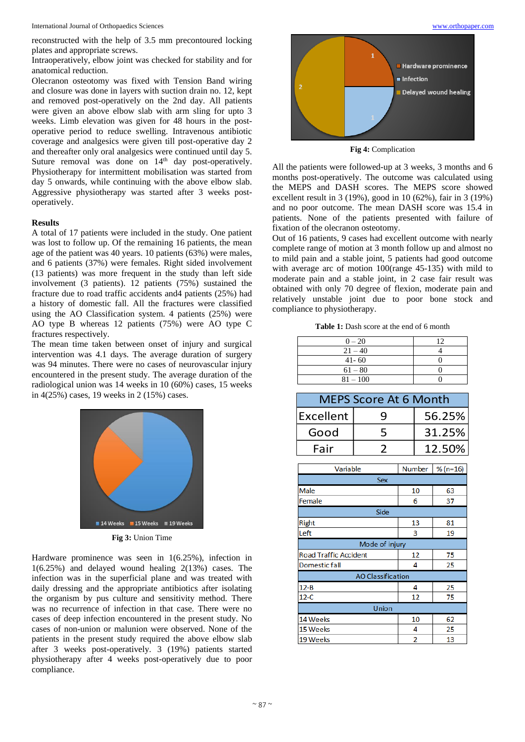International Journal of Orthopaedics Sciences [www.orthopaper.com](http://www.orthopaper.com/)

reconstructed with the help of 3.5 mm precontoured locking plates and appropriate screws.

Intraoperatively, elbow joint was checked for stability and for anatomical reduction.

Olecranon osteotomy was fixed with Tension Band wiring and closure was done in layers with suction drain no. 12, kept and removed post-operatively on the 2nd day. All patients were given an above elbow slab with arm sling for upto 3 weeks. Limb elevation was given for 48 hours in the postoperative period to reduce swelling. Intravenous antibiotic coverage and analgesics were given till post-operative day 2 and thereafter only oral analgesics were continued until day 5. Suture removal was done on 14<sup>th</sup> day post-operatively. Physiotherapy for intermittent mobilisation was started from day 5 onwards, while continuing with the above elbow slab. Aggressive physiotherapy was started after 3 weeks postoperatively.

## **Results**

A total of 17 patients were included in the study. One patient was lost to follow up. Of the remaining 16 patients, the mean age of the patient was 40 years. 10 patients (63%) were males, and 6 patients (37%) were females. Right sided involvement (13 patients) was more frequent in the study than left side involvement (3 patients). 12 patients (75%) sustained the fracture due to road traffic accidents and4 patients (25%) had a history of domestic fall. All the fractures were classified using the AO Classification system. 4 patients (25%) were AO type B whereas 12 patients (75%) were AO type C fractures respectively.

The mean time taken between onset of injury and surgical intervention was 4.1 days. The average duration of surgery was 94 minutes. There were no cases of neurovascular injury encountered in the present study. The average duration of the radiological union was 14 weeks in 10 (60%) cases, 15 weeks in 4(25%) cases, 19 weeks in 2 (15%) cases.



Hardware prominence was seen in 1(6.25%), infection in 1(6.25%) and delayed wound healing 2(13%) cases. The infection was in the superficial plane and was treated with daily dressing and the appropriate antibiotics after isolating the organism by pus culture and sensitivity method. There was no recurrence of infection in that case. There were no cases of deep infection encountered in the present study. No cases of non-union or malunion were observed. None of the patients in the present study required the above elbow slab after 3 weeks post-operatively. 3 (19%) patients started physiotherapy after 4 weeks post-operatively due to poor compliance.



**Fig 4:** Complication

All the patients were followed-up at 3 weeks, 3 months and 6 months post-operatively. The outcome was calculated using the MEPS and DASH scores. The MEPS score showed excellent result in 3 (19%), good in 10 (62%), fair in 3 (19%) and no poor outcome. The mean DASH score was 15.4 in patients. None of the patients presented with failure of fixation of the olecranon osteotomy.

Out of 16 patients, 9 cases had excellent outcome with nearly complete range of motion at 3 month follow up and almost no to mild pain and a stable joint, 5 patients had good outcome with average arc of motion 100(range 45-135) with mild to moderate pain and a stable joint, in 2 case fair result was obtained with only 70 degree of flexion, moderate pain and relatively unstable joint due to poor bone stock and compliance to physiotherapy.

Table 1: Dash score at the end of 6 month

| $0 - 20$   | 12 |
|------------|----|
| $21 - 40$  |    |
| $41 - 60$  |    |
| $61 - 80$  |    |
| $81 - 100$ |    |

| <b>MEPS Score At 6 Month</b> |   |        |  |
|------------------------------|---|--------|--|
| Excellent                    | q | 56.25% |  |
| Good                         | 5 | 31.25% |  |
| Fair                         |   | 12.50% |  |

| Variable                     | Number         | $% (n=16)$ |  |
|------------------------------|----------------|------------|--|
| Sex                          |                |            |  |
| Male                         | 10             | 63         |  |
| Female                       | 6              | 37         |  |
| Side                         |                |            |  |
| Right                        | 13             | 81         |  |
| Left                         | 3              | 19         |  |
| Mode of injury               |                |            |  |
| <b>Road Traffic Accident</b> | 12             | 75         |  |
| Domestic fall                | 4              | 25         |  |
| <b>AO Classification</b>     |                |            |  |
| $12 - B$                     | 4              | 25         |  |
| $12-C$                       | 12             | 75         |  |
| Union                        |                |            |  |
| 14 Weeks                     | 10             | 62         |  |
| 15 Weeks                     | 4              | 25         |  |
| 19 Weeks                     | $\overline{2}$ | 13         |  |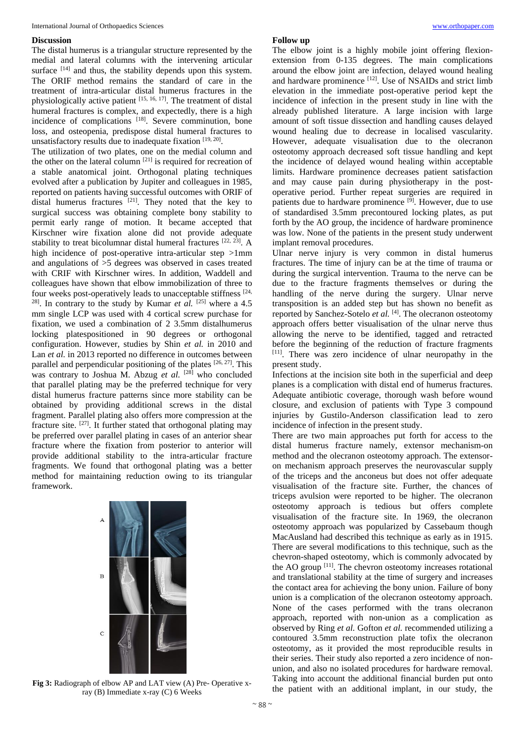# **Discussion**

The distal humerus is a triangular structure represented by the medial and lateral columns with the intervening articular surface <sup>[14]</sup> and thus, the stability depends upon this system. The ORIF method remains the standard of care in the treatment of intra-articular distal humerus fractures in the physiologically active patient [15, 16, 17]. The treatment of distal humeral fractures is complex, and expectedly, there is a high incidence of complications  $^{[18]}$ . Severe comminution, bone loss, and osteopenia, predispose distal humeral fractures to unsatisfactory results due to inadequate fixation [19, 20].

The utilization of two plates, one on the medial column and the other on the lateral column  $[21]$  is required for recreation of a stable anatomical joint. Orthogonal plating techniques evolved after a publication by Jupiter and colleagues in 1985, reported on patients having successful outcomes with ORIF of distal humerus fractures  $[21]$ . They noted that the key to surgical success was obtaining complete bony stability to permit early range of motion. It became accepted that Kirschner wire fixation alone did not provide adequate stability to treat bicolumnar distal humeral fractures [22, 23]. A high incidence of post-operative intra-articular step >1mm and angulations of >5 degrees was observed in cases treated with CRIF with Kirschner wires. In addition, Waddell and colleagues have shown that elbow immobilization of three to four weeks post-operatively leads to unacceptable stiffness [24, <sup>28]</sup>. In contrary to the study by Kumar *et al.* <sup>[25]</sup> where a 4.5 mm single LCP was used with 4 cortical screw purchase for fixation, we used a combination of 2 3.5mm distalhumerus locking platespositioned in 90 degrees or orthogonal configuration. However, studies by Shin *et al.* in 2010 and Lan *et al.* in 2013 reported no difference in outcomes between parallel and perpendicular positioning of the plates [26, 27]. This was contrary to Joshua M. Abzug et al. <sup>[28]</sup> who concluded that parallel plating may be the preferred technique for very distal humerus fracture patterns since more stability can be obtained by providing additional screws in the distal fragment. Parallel plating also offers more compression at the fracture site.  $[27]$ . It further stated that orthogonal plating may be preferred over parallel plating in cases of an anterior shear fracture where the fixation from posterior to anterior will provide additional stability to the intra-articular fracture fragments. We found that orthogonal plating was a better method for maintaining reduction owing to its triangular framework.



**Fig 3:** Radiograph of elbow AP and LAT view (A) Pre- Operative xray (B) Immediate x-ray (C) 6 Weeks

#### **Follow up**

The elbow joint is a highly mobile joint offering flexionextension from 0-135 degrees. The main complications around the elbow joint are infection, delayed wound healing and hardware prominence [12]. Use of NSAIDs and strict limb elevation in the immediate post-operative period kept the incidence of infection in the present study in line with the already published literature. A large incision with large amount of soft tissue dissection and handling causes delayed wound healing due to decrease in localised vascularity. However, adequate visualisation due to the olecranon osteotomy approach decreased soft tissue handling and kept the incidence of delayed wound healing within acceptable limits. Hardware prominence decreases patient satisfaction and may cause pain during physiotherapy in the postoperative period. Further repeat surgeries are required in patients due to hardware prominence  $[\tilde{9}]$ . However, due to use of standardised 3.5mm precontoured locking plates, as put forth by the AO group, the incidence of hardware prominence was low. None of the patients in the present study underwent implant removal procedures.

Ulnar nerve injury is very common in distal humerus fractures. The time of injury can be at the time of trauma or during the surgical intervention. Trauma to the nerve can be due to the fracture fragments themselves or during the handling of the nerve during the surgery. Ulnar nerve transposition is an added step but has shown no benefit as reported by Sanchez-Sotelo *et al.* [4]. The olecranon osteotomy approach offers better visualisation of the ulnar nerve thus allowing the nerve to be identified, tagged and retracted before the beginning of the reduction of fracture fragments [11]. There was zero incidence of ulnar neuropathy in the present study.

Infections at the incision site both in the superficial and deep planes is a complication with distal end of humerus fractures. Adequate antibiotic coverage, thorough wash before wound closure, and exclusion of patients with Type 3 compound injuries by Gustilo-Anderson classification lead to zero incidence of infection in the present study.

There are two main approaches put forth for access to the distal humerus fracture namely, extensor mechanism-on method and the olecranon osteotomy approach. The extensoron mechanism approach preserves the neurovascular supply of the triceps and the anconeus but does not offer adequate visualisation of the fracture site. Further, the chances of triceps avulsion were reported to be higher. The olecranon osteotomy approach is tedious but offers complete visualisation of the fracture site. In 1969, the olecranon osteotomy approach was popularized by Cassebaum though MacAusland had described this technique as early as in 1915. There are several modifications to this technique, such as the chevron-shaped osteotomy, which is commonly advocated by the AO group  $[11]$ . The chevron osteotomy increases rotational and translational stability at the time of surgery and increases the contact area for achieving the bony union. Failure of bony union is a complication of the olecranon osteotomy approach. None of the cases performed with the trans olecranon approach, reported with non-union as a complication as observed by Ring *et al.* Gofton *et al.* recommended utilizing a contoured 3.5mm reconstruction plate tofix the olecranon osteotomy, as it provided the most reproducible results in their series. Their study also reported a zero incidence of nonunion, and also no isolated procedures for hardware removal. Taking into account the additional financial burden put onto the patient with an additional implant, in our study, the